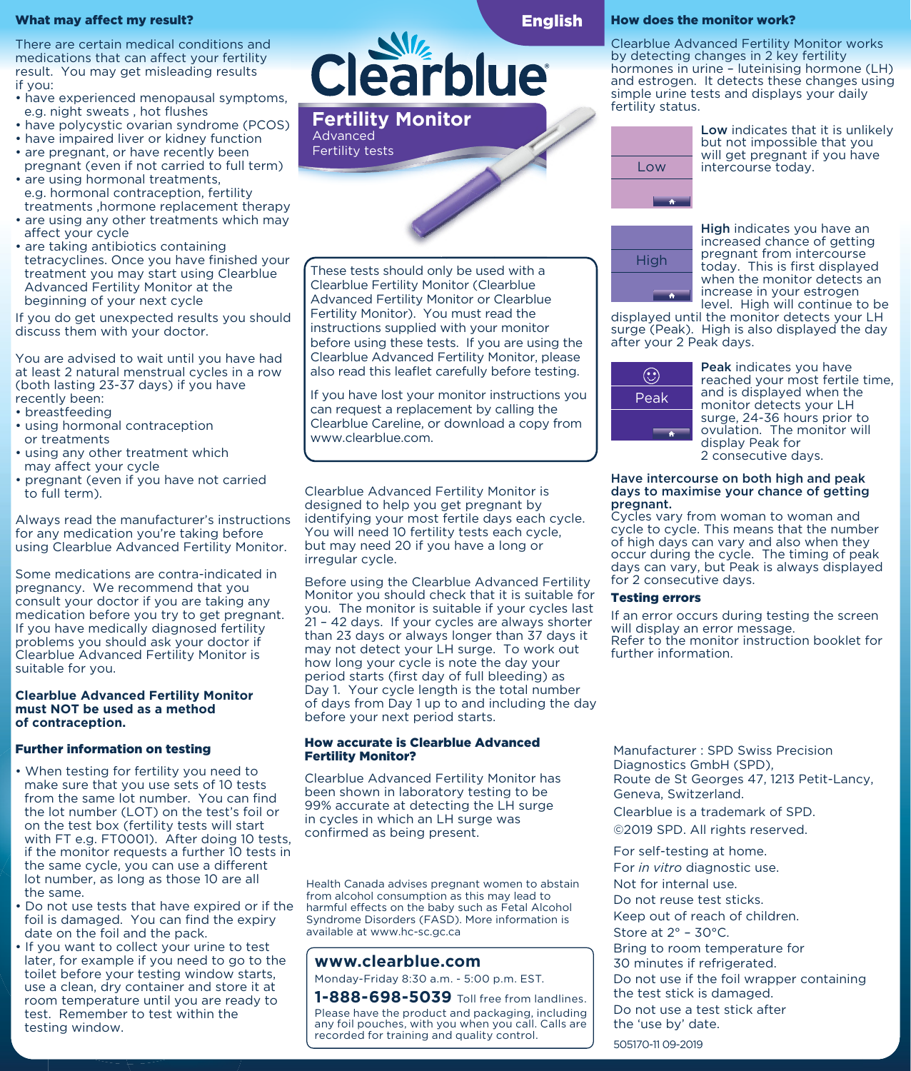### What may affect my result?

There are certain medical conditions and medications that can affect your fertility result. You may get misleading results if you:

- have experienced menopausal symptoms, e.g. night sweats , hot flushes
- have polycystic ovarian syndrome (PCOS)
- have impaired liver or kidney function
- are pregnant, or have recently been pregnant (even if not carried to full term) • are using hormonal treatments,
- e.g. hormonal contraception, fertility treatments ,hormone replacement therapy
- are using any other treatments which may affect your cycle
- are taking antibiotics containing tetracyclines. Once you have finished your treatment you may start using Clearblue Advanced Fertility Monitor at the beginning of your next cycle

If you do get unexpected results you should discuss them with your doctor.

You are advised to wait until you have had at least 2 natural menstrual cycles in a row (both lasting 23-37 days) if you have recently been:

- breastfeeding
- using hormonal contraception or treatments
- using any other treatment which may affect your cycle
- pregnant (even if you have not carried to full term).

Always read the manufacturer's instructions for any medication you're taking before using Clearblue Advanced Fertility Monitor.

Some medications are contra-indicated in pregnancy. We recommend that you consult your doctor if you are taking any medication before you try to get pregnant. If you have medically diagnosed fertility problems you should ask your doctor if Clearblue Advanced Fertility Monitor is suitable for you.

#### **Clearblue Advanced Fertility Monitor must NOT be used as a method of contraception.**

### Further information on testing

- When testing for fertility you need to make sure that you use sets of 10 tests from the same lot number. You can find the lot number (LOT) on the test's foil or on the test box (fertility tests will start with FT e.g. FT0001). After doing 10 tests. if the monitor requests a further 10 tests in the same cycle, you can use a different lot number, as long as those 10 are all the same.
- Do not use tests that have expired or if the foil is damaged. You can find the expiry date on the foil and the pack.
- If you want to collect your urine to test later, for example if you need to go to the toilet before your testing window starts, use a clean, dry container and store it at room temperature until you are ready to test. Remember to test within the testing window.

**Clearblue** 



These tests should only be used with a Clearblue Fertility Monitor (Clearblue Advanced Fertility Monitor or Clearblue Fertility Monitor). You must read the instructions supplied with your monitor before using these tests. If you are using the Clearblue Advanced Fertility Monitor, please also read this leaflet carefully before testing.

If you have lost your monitor instructions you can request a replacement by calling the Clearblue Careline, or download a copy from www.clearblue.com.

Clearblue Advanced Fertility Monitor is designed to help you get pregnant by identifying your most fertile days each cycle. You will need 10 fertility tests each cycle, but may need 20 if you have a long or irregular cycle.

Before using the Clearblue Advanced Fertility Monitor you should check that it is suitable for you. The monitor is suitable if your cycles last 21 – 42 days. If your cycles are always shorter than 23 days or always longer than 37 days it may not detect your LH surge. To work out how long your cycle is note the day your period starts (first day of full bleeding) as Day 1. Your cycle length is the total number of days from Day 1 up to and including the day before your next period starts.

### How accurate is Clearblue Advanced Fertility Monitor?

Clearblue Advanced Fertility Monitor has been shown in laboratory testing to be 99% accurate at detecting the LH surge in cycles in which an LH surge was confirmed as being present.

Health Canada advises pregnant women to abstain from alcohol consumption as this may lead to harmful effects on the baby such as Fetal Alcohol Syndrome Disorders (FASD). More information is available at www.hc-sc.gc.ca

**www.clearblue.com** Monday-Friday 8:30 a.m. - 5:00 p.m. EST. **1-888-698-5039** Toll free from landlines.

Please have the product and packaging, including any foil pouches, with you when you call. Calls are recorded for training and quality control.

## How does the monitor work?

Clearblue Advanced Fertility Monitor works by detecting changes in 2 key fertility hormones in urine – luteinising hormone (LH) and estrogen. It detects these changes using simple urine tests and displays your daily fertility status.



Low indicates that it is unlikely but not impossible that you will get pregnant if you have intercourse today.



High indicates you have an increased chance of getting pregnant from intercourse today. This is first displayed when the monitor detects an increase in your estrogen level. High will continue to be

displayed until the monitor detects your LH surge (Peak). High is also displayed the day after your 2 Peak days.



Peak indicates you have reached your most fertile time, and is displayed when the monitor detects your LH surge, 24-36 hours prior to ovulation. The monitor will display Peak for 2 consecutive days.

#### Have intercourse on both high and peak days to maximise your chance of getting pregnant.

Cycles vary from woman to woman and cycle to cycle. This means that the number of high days can vary and also when they occur during the cycle. The timing of peak days can vary, but Peak is always displayed for 2 consecutive days.

## Testing errors

If an error occurs during testing the screen will display an error message. Refer to the monitor instruction booklet for further information.

Manufacturer : SPD Swiss Precision Diagnostics GmbH (SPD), Route de St Georges 47, 1213 Petit-Lancy, Geneva, Switzerland.

Clearblue is a trademark of SPD.

©2019 SPD. All rights reserved.

For self-testing at home. For *in vitro* diagnostic use. Not for internal use. Do not reuse test sticks. Keep out of reach of children. Store at 2° – 30°C. Bring to room temperature for 30 minutes if refrigerated. Do not use if the foil wrapper containing the test stick is damaged. Do not use a test stick after the 'use by' date. 505170-11 09-2019

English